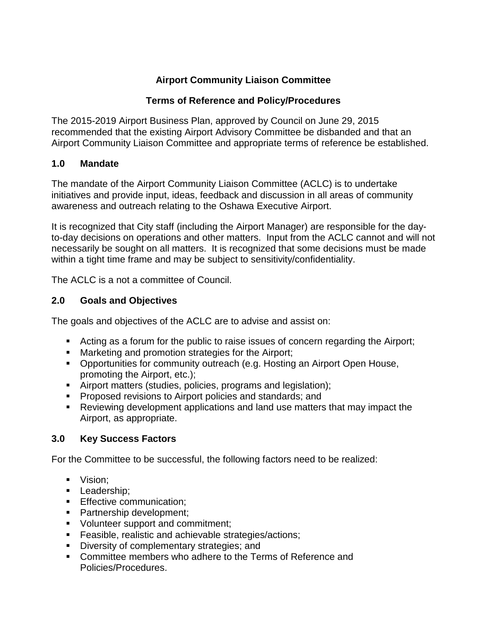## **Airport Community Liaison Committee**

### **Terms of Reference and Policy/Procedures**

The 2015-2019 Airport Business Plan, approved by Council on June 29, 2015 recommended that the existing Airport Advisory Committee be disbanded and that an Airport Community Liaison Committee and appropriate terms of reference be established.

### **1.0 Mandate**

The mandate of the Airport Community Liaison Committee (ACLC) is to undertake initiatives and provide input, ideas, feedback and discussion in all areas of community awareness and outreach relating to the Oshawa Executive Airport.

It is recognized that City staff (including the Airport Manager) are responsible for the dayto-day decisions on operations and other matters. Input from the ACLC cannot and will not necessarily be sought on all matters. It is recognized that some decisions must be made within a tight time frame and may be subject to sensitivity/confidentiality.

The ACLC is a not a committee of Council.

### **2.0 Goals and Objectives**

The goals and objectives of the ACLC are to advise and assist on:

- Acting as a forum for the public to raise issues of concern regarding the Airport;
- **Marketing and promotion strategies for the Airport;**
- **Opportunities for community outreach (e.g. Hosting an Airport Open House,** promoting the Airport, etc.);
- Airport matters (studies, policies, programs and legislation);
- **Proposed revisions to Airport policies and standards; and**
- Reviewing development applications and land use matters that may impact the Airport, as appropriate.

### **3.0 Key Success Factors**

For the Committee to be successful, the following factors need to be realized:

- Vision;
- Leadership:
- **Effective communication;**
- **Partnership development;**
- Volunteer support and commitment;
- **Feasible, realistic and achievable strategies/actions;**
- Diversity of complementary strategies; and
- **Committee members who adhere to the Terms of Reference and** Policies/Procedures.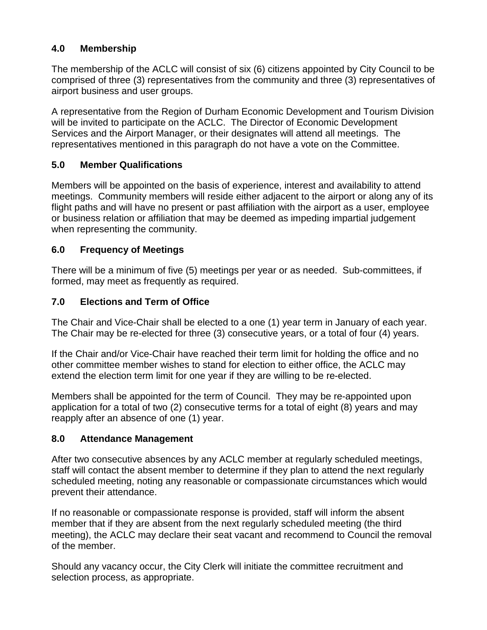## **4.0 Membership**

The membership of the ACLC will consist of six (6) citizens appointed by City Council to be comprised of three (3) representatives from the community and three (3) representatives of airport business and user groups.

A representative from the Region of Durham Economic Development and Tourism Division will be invited to participate on the ACLC. The Director of Economic Development Services and the Airport Manager, or their designates will attend all meetings. The representatives mentioned in this paragraph do not have a vote on the Committee.

## **5.0 Member Qualifications**

Members will be appointed on the basis of experience, interest and availability to attend meetings. Community members will reside either adjacent to the airport or along any of its flight paths and will have no present or past affiliation with the airport as a user, employee or business relation or affiliation that may be deemed as impeding impartial judgement when representing the community.

## **6.0 Frequency of Meetings**

There will be a minimum of five (5) meetings per year or as needed. Sub-committees, if formed, may meet as frequently as required.

## **7.0 Elections and Term of Office**

The Chair and Vice-Chair shall be elected to a one (1) year term in January of each year. The Chair may be re-elected for three (3) consecutive years, or a total of four (4) years.

If the Chair and/or Vice-Chair have reached their term limit for holding the office and no other committee member wishes to stand for election to either office, the ACLC may extend the election term limit for one year if they are willing to be re-elected.

Members shall be appointed for the term of Council. They may be re-appointed upon application for a total of two (2) consecutive terms for a total of eight (8) years and may reapply after an absence of one (1) year.

### **8.0 Attendance Management**

After two consecutive absences by any ACLC member at regularly scheduled meetings, staff will contact the absent member to determine if they plan to attend the next regularly scheduled meeting, noting any reasonable or compassionate circumstances which would prevent their attendance.

If no reasonable or compassionate response is provided, staff will inform the absent member that if they are absent from the next regularly scheduled meeting (the third meeting), the ACLC may declare their seat vacant and recommend to Council the removal of the member.

Should any vacancy occur, the City Clerk will initiate the committee recruitment and selection process, as appropriate.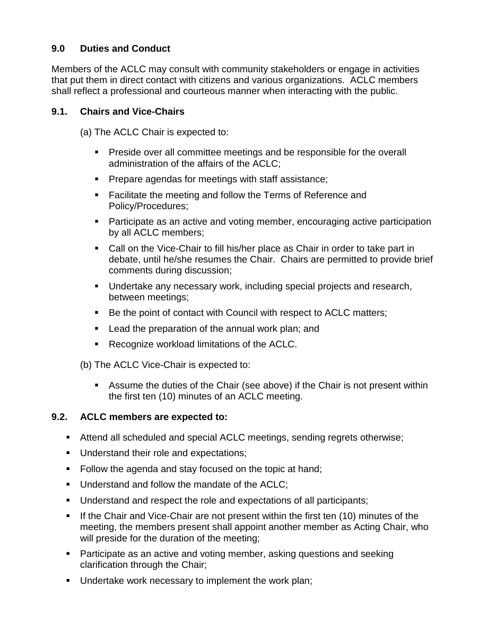## **9.0 Duties and Conduct**

Members of the ACLC may consult with community stakeholders or engage in activities that put them in direct contact with citizens and various organizations. ACLC members shall reflect a professional and courteous manner when interacting with the public.

### **9.1. Chairs and Vice-Chairs**

(a) The ACLC Chair is expected to:

- **Preside over all committee meetings and be responsible for the overall** administration of the affairs of the ACLC;
- **Prepare agendas for meetings with staff assistance;**
- **Facilitate the meeting and follow the Terms of Reference and** Policy/Procedures;
- Participate as an active and voting member, encouraging active participation by all ACLC members;
- Call on the Vice-Chair to fill his/her place as Chair in order to take part in debate, until he/she resumes the Chair. Chairs are permitted to provide brief comments during discussion;
- Undertake any necessary work, including special projects and research, between meetings;
- Be the point of contact with Council with respect to ACLC matters;
- **Lead the preparation of the annual work plan; and**
- Recognize workload limitations of the ACLC.

(b) The ACLC Vice-Chair is expected to:

 Assume the duties of the Chair (see above) if the Chair is not present within the first ten (10) minutes of an ACLC meeting.

# **9.2. ACLC members are expected to:**

- Attend all scheduled and special ACLC meetings, sending regrets otherwise;
- Understand their role and expectations;
- Follow the agenda and stay focused on the topic at hand;
- **Understand and follow the mandate of the ACLC:**
- Understand and respect the role and expectations of all participants;
- **If the Chair and Vice-Chair are not present within the first ten (10) minutes of the** meeting, the members present shall appoint another member as Acting Chair, who will preside for the duration of the meeting;
- **Participate as an active and voting member, asking questions and seeking** clarification through the Chair;
- **Undertake work necessary to implement the work plan;**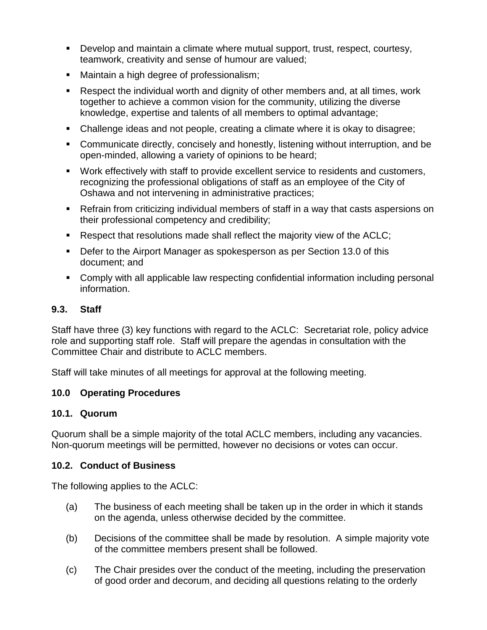- Develop and maintain a climate where mutual support, trust, respect, courtesy, teamwork, creativity and sense of humour are valued;
- Maintain a high degree of professionalism;
- Respect the individual worth and dignity of other members and, at all times, work together to achieve a common vision for the community, utilizing the diverse knowledge, expertise and talents of all members to optimal advantage;
- Challenge ideas and not people, creating a climate where it is okay to disagree;
- Communicate directly, concisely and honestly, listening without interruption, and be open-minded, allowing a variety of opinions to be heard;
- Work effectively with staff to provide excellent service to residents and customers, recognizing the professional obligations of staff as an employee of the City of Oshawa and not intervening in administrative practices;
- Refrain from criticizing individual members of staff in a way that casts aspersions on their professional competency and credibility;
- Respect that resolutions made shall reflect the majority view of the ACLC;
- Defer to the Airport Manager as spokesperson as per Section 13.0 of this document; and
- Comply with all applicable law respecting confidential information including personal information.

## **9.3. Staff**

Staff have three (3) key functions with regard to the ACLC: Secretariat role, policy advice role and supporting staff role. Staff will prepare the agendas in consultation with the Committee Chair and distribute to ACLC members.

Staff will take minutes of all meetings for approval at the following meeting.

### **10.0 Operating Procedures**

### **10.1. Quorum**

Quorum shall be a simple majority of the total ACLC members, including any vacancies. Non-quorum meetings will be permitted, however no decisions or votes can occur.

### **10.2. Conduct of Business**

The following applies to the ACLC:

- (a) The business of each meeting shall be taken up in the order in which it stands on the agenda, unless otherwise decided by the committee.
- (b) Decisions of the committee shall be made by resolution. A simple majority vote of the committee members present shall be followed.
- (c) The Chair presides over the conduct of the meeting, including the preservation of good order and decorum, and deciding all questions relating to the orderly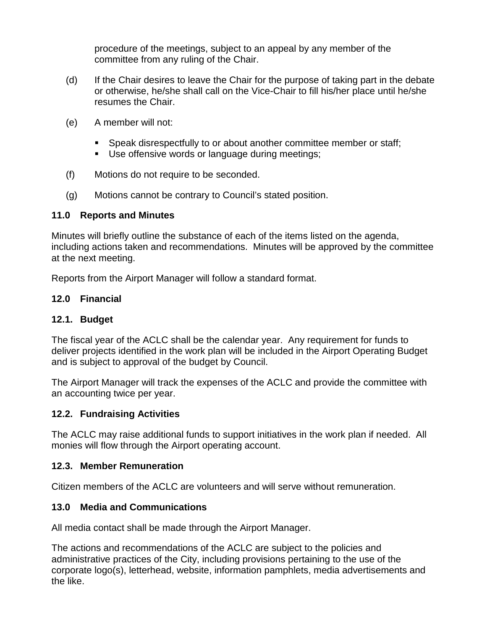procedure of the meetings, subject to an appeal by any member of the committee from any ruling of the Chair.

- (d) If the Chair desires to leave the Chair for the purpose of taking part in the debate or otherwise, he/she shall call on the Vice-Chair to fill his/her place until he/she resumes the Chair.
- (e) A member will not:
	- Speak disrespectfully to or about another committee member or staff;
	- Use offensive words or language during meetings;
- (f) Motions do not require to be seconded.
- (g) Motions cannot be contrary to Council's stated position.

### **11.0 Reports and Minutes**

Minutes will briefly outline the substance of each of the items listed on the agenda, including actions taken and recommendations. Minutes will be approved by the committee at the next meeting.

Reports from the Airport Manager will follow a standard format.

### **12.0 Financial**

### **12.1. Budget**

The fiscal year of the ACLC shall be the calendar year. Any requirement for funds to deliver projects identified in the work plan will be included in the Airport Operating Budget and is subject to approval of the budget by Council.

The Airport Manager will track the expenses of the ACLC and provide the committee with an accounting twice per year.

#### **12.2. Fundraising Activities**

The ACLC may raise additional funds to support initiatives in the work plan if needed. All monies will flow through the Airport operating account.

### **12.3. Member Remuneration**

Citizen members of the ACLC are volunteers and will serve without remuneration.

### **13.0 Media and Communications**

All media contact shall be made through the Airport Manager.

The actions and recommendations of the ACLC are subject to the policies and administrative practices of the City, including provisions pertaining to the use of the corporate logo(s), letterhead, website, information pamphlets, media advertisements and the like.